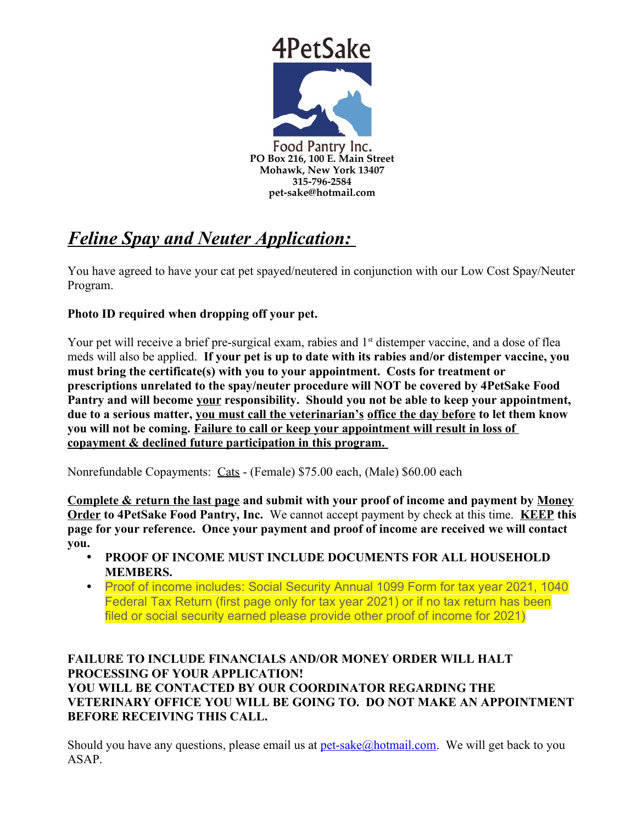

# *Feline Spay and Neuter Application:*

You have agreed to have your cat pet spayed/neutered in conjunction with our Low Cost Spay/Neuter Program.

## **Photo ID required when dropping off your pet.**

Your pet will receive a brief pre-surgical exam, rabies and 1<sup>st</sup> distemper vaccine, and a dose of flea meds will also be applied. **If your pet is up to date with its rabies and/or distemper vaccine, you must bring the certificate(s) with you to your appointment. Costs for treatment or prescriptions unrelated to the spay/neuter procedure will NOT be covered by 4PetSake Food Pantry and will become your responsibility. Should you not be able to keep your appointment, due to a serious matter, you must call the veterinarian's office the day before to let them know you will not be coming. Failure to call or keep your appointment will result in loss of copayment & declined future participation in this program.** 

Nonrefundable Copayments: Cats - (Female) \$75.00 each, (Male) \$60.00 each

**Complete & return the last page and submit with your proof of income and payment by Money Order to 4PetSake Food Pantry, Inc.** We cannot accept payment by check at this time. **KEEP this page for your reference. Once your payment and proof of income are received we will contact you.** 

- **PROOF OF INCOME MUST INCLUDE DOCUMENTS FOR ALL HOUSEHOLD MEMBERS.**
- Proof of income includes: Social Security Annual 1099 Form for tax year 2021, 1040 Federal Tax Return (first page only for tax year 2021) or if no tax return has been filed or social security earned please provide other proof of income for 2021)

## **FAILURE TO INCLUDE FINANCIALS AND/OR MONEY ORDER WILL HALT PROCESSING OF YOUR APPLICATION! YOU WILL BE CONTACTED BY OUR COORDINATOR REGARDING THE VETERINARY OFFICE YOU WILL BE GOING TO. DO NOT MAKE AN APPOINTMENT BEFORE RECEIVING THIS CALL.**

Should you have any questions, please email us at [pet-sake@hotmail.com](mailto:pet-sake@hotmail.com). We will get back to you ASAP.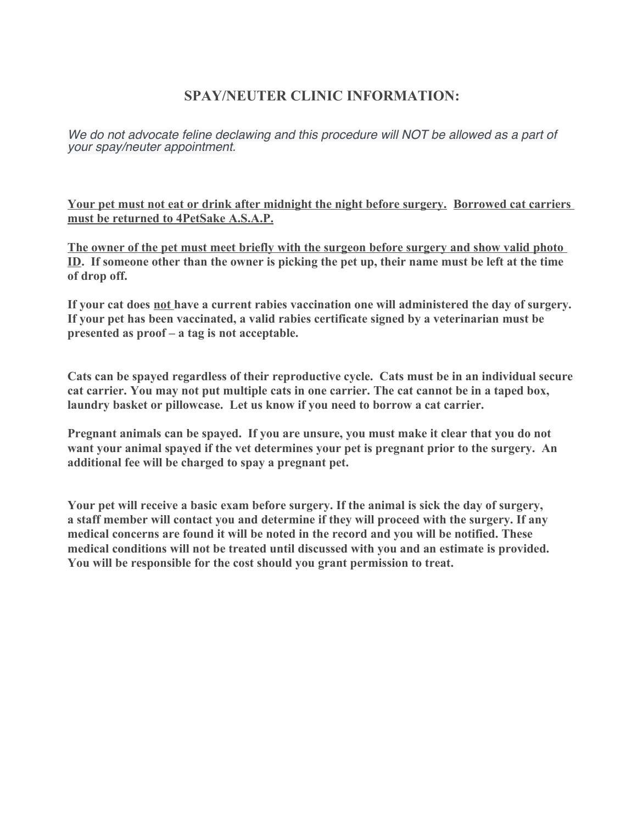# **SPAY/NEUTER CLINIC INFORMATION:**

We do not advocate feline declawing and this procedure will NOT be allowed as a part of your spay/neuter appointment.

**Your pet must not eat or drink after midnight the night before surgery. Borrowed cat carriers must be returned to 4PetSake A.S.A.P.**

**The owner of the pet must meet briefly with the surgeon before surgery and show valid photo ID. If someone other than the owner is picking the pet up, their name must be left at the time of drop off.**

**If your cat does not have a current rabies vaccination one will administered the day of surgery. If your pet has been vaccinated, a valid rabies certificate signed by a veterinarian must be presented as proof – a tag is not acceptable.**

**Cats can be spayed regardless of their reproductive cycle. Cats must be in an individual secure cat carrier. You may not put multiple cats in one carrier. The cat cannot be in a taped box, laundry basket or pillowcase. Let us know if you need to borrow a cat carrier.**

**Pregnant animals can be spayed. If you are unsure, you must make it clear that you do not want your animal spayed if the vet determines your pet is pregnant prior to the surgery. An additional fee will be charged to spay a pregnant pet.** 

**Your pet will receive a basic exam before surgery. If the animal is sick the day of surgery, a staff member will contact you and determine if they will proceed with the surgery. If any medical concerns are found it will be noted in the record and you will be notified. These medical conditions will not be treated until discussed with you and an estimate is provided. You will be responsible for the cost should you grant permission to treat.**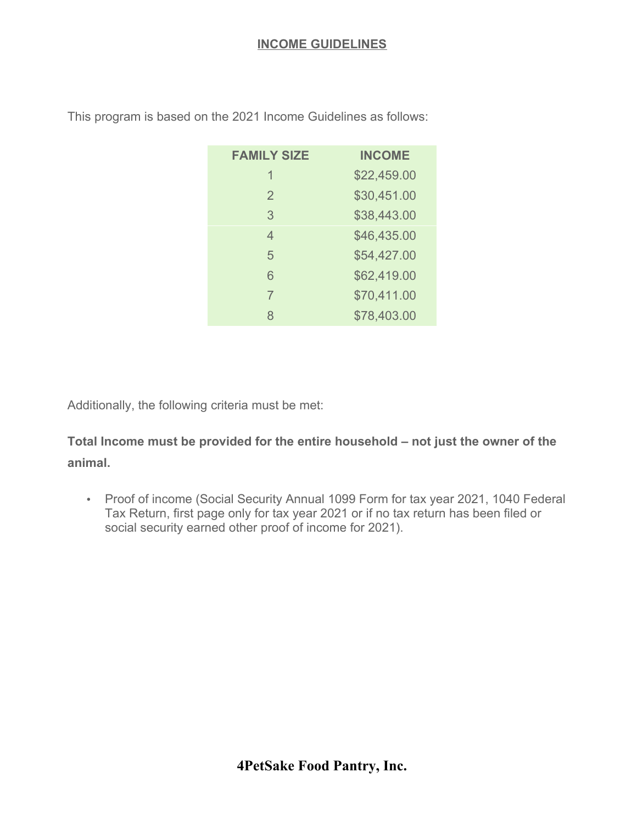| <b>FAMILY SIZE</b> | <b>INCOME</b> |
|--------------------|---------------|
| 1                  | \$22,459.00   |
| $\overline{2}$     | \$30,451.00   |
| 3                  | \$38,443.00   |
| 4                  | \$46,435.00   |
| 5                  | \$54,427.00   |
| 6                  | \$62,419.00   |
| 7                  | \$70,411.00   |
| 8                  | \$78,403.00   |

This program is based on the 2021 Income Guidelines as follows:

Additionally, the following criteria must be met:

**Total Income must be provided for the entire household – not just the owner of the animal.**

• Proof of income (Social Security Annual 1099 Form for tax year 2021, 1040 Federal Tax Return, first page only for tax year 2021 or if no tax return has been filed or social security earned other proof of income for 2021).